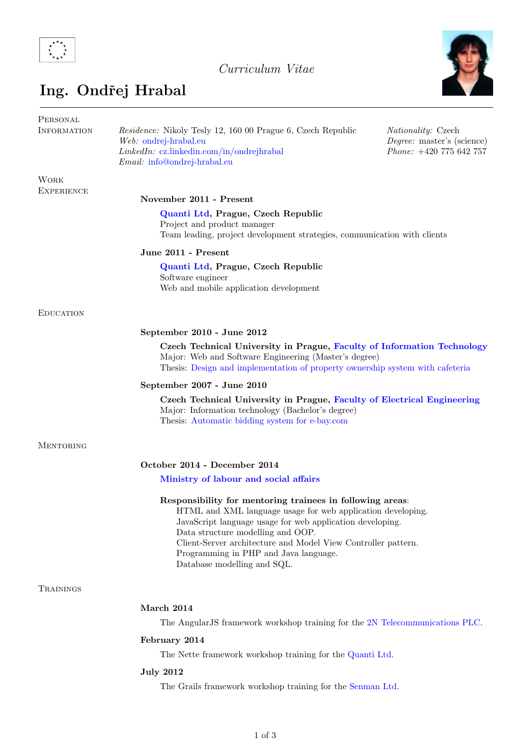

# Curriculum Vitae



# Ing. Ondřej Hrabal

| PERSONAL<br><b>INFORMATION</b>   | <i>Residence:</i> Nikoly Tesly 12, 160 00 Prague 6, Czech Republic<br>Web: ondrej-hrabal.eu<br>$LinkedIn:$ cz.linkedin.com/in/ondrejhrabal<br><i>Email:</i> info@ondrej-hrabal.eu                                                                                                                                                                                   | <i>Nationality:</i> Czech<br>Degree: master's (science)<br>Phone: +420 775 642 757 |  |
|----------------------------------|---------------------------------------------------------------------------------------------------------------------------------------------------------------------------------------------------------------------------------------------------------------------------------------------------------------------------------------------------------------------|------------------------------------------------------------------------------------|--|
| <b>WORK</b><br><b>EXPERIENCE</b> |                                                                                                                                                                                                                                                                                                                                                                     |                                                                                    |  |
|                                  | November 2011 - Present                                                                                                                                                                                                                                                                                                                                             |                                                                                    |  |
|                                  | Quanti Ltd, Prague, Czech Republic<br>Project and product manager<br>Team leading, project development strategies, communication with clients                                                                                                                                                                                                                       |                                                                                    |  |
|                                  | June 2011 - Present                                                                                                                                                                                                                                                                                                                                                 |                                                                                    |  |
|                                  | Quanti Ltd, Prague, Czech Republic<br>Software engineer<br>Web and mobile application development                                                                                                                                                                                                                                                                   |                                                                                    |  |
| <b>EDUCATION</b>                 |                                                                                                                                                                                                                                                                                                                                                                     |                                                                                    |  |
|                                  | September 2010 - June 2012                                                                                                                                                                                                                                                                                                                                          |                                                                                    |  |
|                                  | Czech Technical University in Prague, Faculty of Information Technology<br>Major: Web and Software Engineering (Master's degree)<br>Thesis: Design and implementation of property ownership system with cafeteria                                                                                                                                                   |                                                                                    |  |
|                                  | September 2007 - June 2010                                                                                                                                                                                                                                                                                                                                          |                                                                                    |  |
|                                  | Czech Technical University in Prague, Faculty of Electrical Engineering<br>Major: Information technology (Bachelor's degree)<br>Thesis: Automatic bidding system for e-bay.com                                                                                                                                                                                      |                                                                                    |  |
| <b>MENTORING</b>                 |                                                                                                                                                                                                                                                                                                                                                                     |                                                                                    |  |
|                                  | October 2014 - December 2014                                                                                                                                                                                                                                                                                                                                        |                                                                                    |  |
|                                  | Ministry of labour and social affairs                                                                                                                                                                                                                                                                                                                               |                                                                                    |  |
|                                  | Responsibility for mentoring trainees in following areas:<br>HTML and XML language usage for web application developing.<br>JavaScript language usage for web application developing.<br>Data structure modelling and OOP.<br>Client-Server architecture and Model View Controller pattern.<br>Programming in PHP and Java language.<br>Database modelling and SQL. |                                                                                    |  |
| TRAININGS                        |                                                                                                                                                                                                                                                                                                                                                                     |                                                                                    |  |
|                                  | March 2014                                                                                                                                                                                                                                                                                                                                                          |                                                                                    |  |
|                                  | The Angular JS framework workshop training for the 2N Telecommunications PLC.                                                                                                                                                                                                                                                                                       |                                                                                    |  |
|                                  | February 2014                                                                                                                                                                                                                                                                                                                                                       |                                                                                    |  |
|                                  | The Nette framework workshop training for the Quanti Ltd.                                                                                                                                                                                                                                                                                                           |                                                                                    |  |
|                                  | <b>July 2012</b>                                                                                                                                                                                                                                                                                                                                                    |                                                                                    |  |
|                                  | The Grails framework workshop training for the Senman Ltd.                                                                                                                                                                                                                                                                                                          |                                                                                    |  |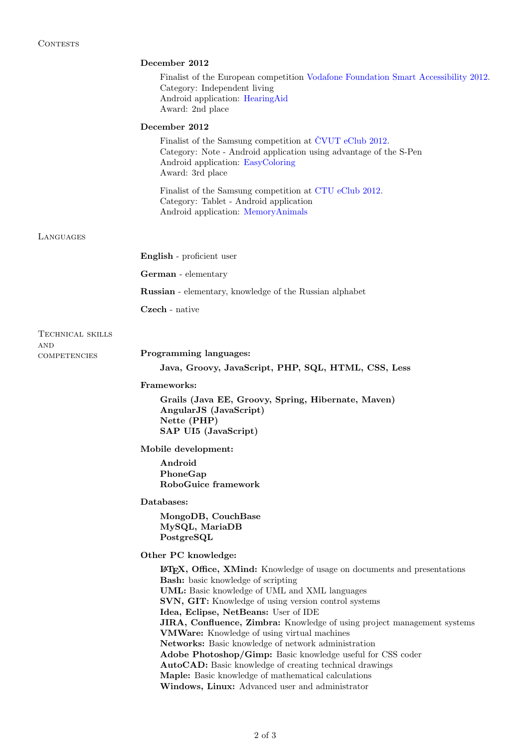## December 2012

Finalist of the European competition [Vodafone Foundation Smart Accessibility 2012.](http://developer.vodafone.com/smartaccess2012/home/) Category: Independent living Android application: [HearingAid](https://play.google.com/store/apps/details?id=cz.quanti.hearingaid) Award: 2nd place

#### December 2012

Finalist of the Samsung competition at ČVUT eClub 2012. Category: Note - Android application using advantage of the S-Pen Android application: [EasyColoring](http://www.samsungapps.com/earth/topApps/topAppsDetail.as?productId=000000519731) Award: 3rd place

Finalist of the Samsung competition at [CTU eClub 2012.](http://www.eclub.cvutmedialab.cz/final-projects) Category: Tablet - Android application Android application: [MemoryAnimals](http://www.samsungapps.com/earth/topApps/topAppsDetail.as?productId=000000514020)

#### LAN

| LANGUAGES                         |                                                                                                                                                                                                                                                                                                                                                                                                                                                                                                                                                                                                                                                                                                                |  |
|-----------------------------------|----------------------------------------------------------------------------------------------------------------------------------------------------------------------------------------------------------------------------------------------------------------------------------------------------------------------------------------------------------------------------------------------------------------------------------------------------------------------------------------------------------------------------------------------------------------------------------------------------------------------------------------------------------------------------------------------------------------|--|
|                                   | English - proficient user                                                                                                                                                                                                                                                                                                                                                                                                                                                                                                                                                                                                                                                                                      |  |
|                                   | German - elementary                                                                                                                                                                                                                                                                                                                                                                                                                                                                                                                                                                                                                                                                                            |  |
|                                   | <b>Russian</b> - elementary, knowledge of the Russian alphabet                                                                                                                                                                                                                                                                                                                                                                                                                                                                                                                                                                                                                                                 |  |
|                                   | Czech - native                                                                                                                                                                                                                                                                                                                                                                                                                                                                                                                                                                                                                                                                                                 |  |
| TECHNICAL SKILLS                  |                                                                                                                                                                                                                                                                                                                                                                                                                                                                                                                                                                                                                                                                                                                |  |
| <b>AND</b><br><b>COMPETENCIES</b> | Programming languages:                                                                                                                                                                                                                                                                                                                                                                                                                                                                                                                                                                                                                                                                                         |  |
|                                   | Java, Groovy, JavaScript, PHP, SQL, HTML, CSS, Less                                                                                                                                                                                                                                                                                                                                                                                                                                                                                                                                                                                                                                                            |  |
|                                   | Frameworks:                                                                                                                                                                                                                                                                                                                                                                                                                                                                                                                                                                                                                                                                                                    |  |
|                                   | Grails (Java EE, Groovy, Spring, Hibernate, Maven)<br>AngularJS (JavaScript)<br>Nette (PHP)<br>SAP UI5 (JavaScript)                                                                                                                                                                                                                                                                                                                                                                                                                                                                                                                                                                                            |  |
|                                   | Mobile development:                                                                                                                                                                                                                                                                                                                                                                                                                                                                                                                                                                                                                                                                                            |  |
|                                   | Android<br>PhoneGap<br>RoboGuice framework                                                                                                                                                                                                                                                                                                                                                                                                                                                                                                                                                                                                                                                                     |  |
|                                   | Databases:                                                                                                                                                                                                                                                                                                                                                                                                                                                                                                                                                                                                                                                                                                     |  |
|                                   | MongoDB, CouchBase<br>MySQL, MariaDB<br>PostgreSQL                                                                                                                                                                                                                                                                                                                                                                                                                                                                                                                                                                                                                                                             |  |
|                                   | Other PC knowledge:                                                                                                                                                                                                                                                                                                                                                                                                                                                                                                                                                                                                                                                                                            |  |
|                                   | LATEX, Office, XMind: Knowledge of usage on documents and presentations<br><b>Bash:</b> basic knowledge of scripting<br>UML: Basic knowledge of UML and XML languages<br>SVN, GIT: Knowledge of using version control systems<br>Idea, Eclipse, NetBeans: User of IDE<br><b>JIRA, Confluence, Zimbra:</b> Knowledge of using project management systems<br><b>VMWare:</b> Knowledge of using virtual machines<br>Networks: Basic knowledge of network administration<br>Adobe Photoshop/Gimp: Basic knowledge useful for CSS coder<br><b>AutoCAD:</b> Basic knowledge of creating technical drawings<br>Maple: Basic knowledge of mathematical calculations<br>Windows, Linux: Advanced user and administrator |  |